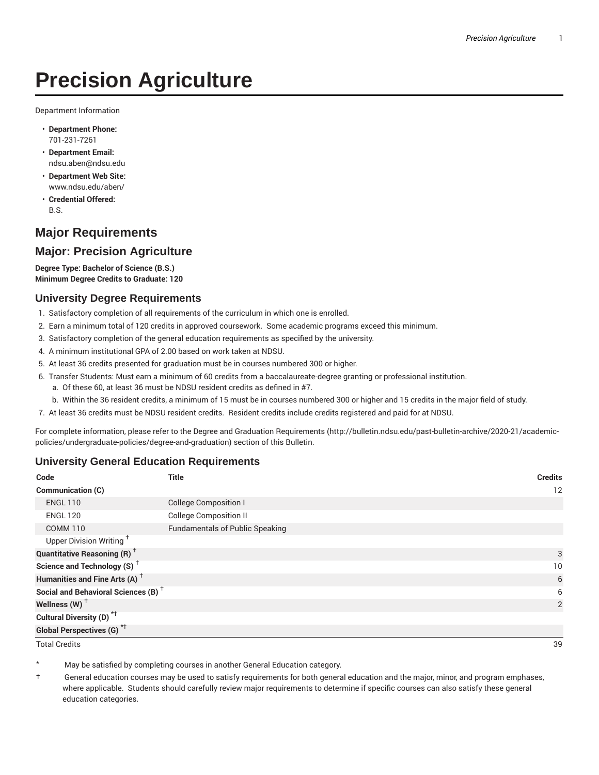# **Precision Agriculture**

Department Information

- **Department Phone:** 701-231-7261
- **Department Email:** ndsu.aben@ndsu.edu
- **Department Web Site:** www.ndsu.edu/aben/
- **Credential Offered:** B.S.

# **Major Requirements**

### **Major: Precision Agriculture**

**Degree Type: Bachelor of Science (B.S.) Minimum Degree Credits to Graduate: 120**

#### **University Degree Requirements**

- 1. Satisfactory completion of all requirements of the curriculum in which one is enrolled.
- 2. Earn a minimum total of 120 credits in approved coursework. Some academic programs exceed this minimum.
- 3. Satisfactory completion of the general education requirements as specified by the university.
- 4. A minimum institutional GPA of 2.00 based on work taken at NDSU.
- 5. At least 36 credits presented for graduation must be in courses numbered 300 or higher.
- 6. Transfer Students: Must earn a minimum of 60 credits from a baccalaureate-degree granting or professional institution.
	- a. Of these 60, at least 36 must be NDSU resident credits as defined in #7.
	- b. Within the 36 resident credits, a minimum of 15 must be in courses numbered 300 or higher and 15 credits in the major field of study.
- 7. At least 36 credits must be NDSU resident credits. Resident credits include credits registered and paid for at NDSU.

For complete information, please refer to the Degree and Graduation Requirements (http://bulletin.ndsu.edu/past-bulletin-archive/2020-21/academicpolicies/undergraduate-policies/degree-and-graduation) section of this Bulletin.

#### **University General Education Requirements**

| Code                                            | <b>Title</b>                           | <b>Credits</b> |
|-------------------------------------------------|----------------------------------------|----------------|
| <b>Communication (C)</b>                        |                                        | 12             |
| <b>ENGL 110</b>                                 | <b>College Composition I</b>           |                |
| <b>ENGL 120</b>                                 | <b>College Composition II</b>          |                |
| <b>COMM 110</b>                                 | <b>Fundamentals of Public Speaking</b> |                |
| Upper Division Writing <sup>+</sup>             |                                        |                |
| <b>Quantitative Reasoning (R)</b> <sup>†</sup>  |                                        | 3              |
| Science and Technology (S) <sup>+</sup>         |                                        | 10             |
| Humanities and Fine Arts (A) <sup>+</sup>       |                                        | 6              |
| Social and Behavioral Sciences (B) <sup>+</sup> |                                        | 6              |
| Wellness $(W)$ <sup>+</sup>                     |                                        | 2              |
| Cultural Diversity (D) <sup>*†</sup>            |                                        |                |
| <b>Global Perspectives (G)</b> * <sup>+</sup>   |                                        |                |

Total Credits 39

May be satisfied by completing courses in another General Education category.

† General education courses may be used to satisfy requirements for both general education and the major, minor, and program emphases, where applicable. Students should carefully review major requirements to determine if specific courses can also satisfy these general education categories.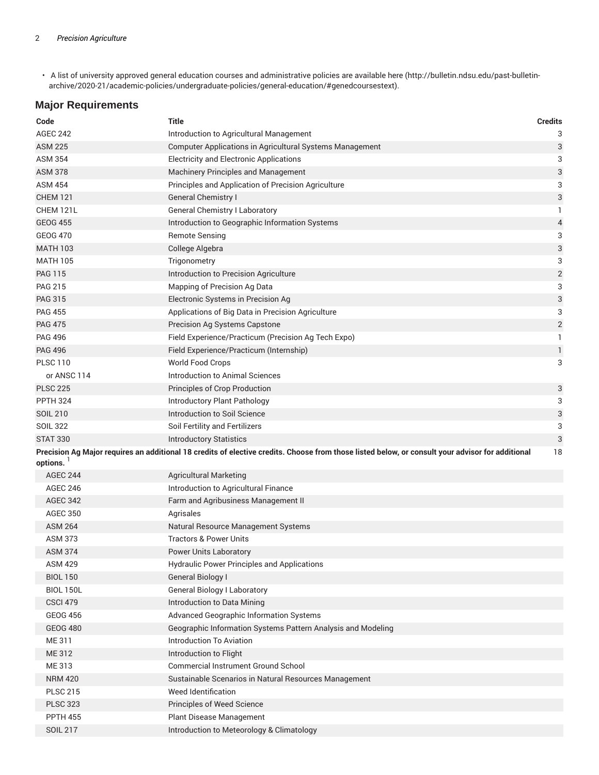• A list of university approved general education courses and administrative policies are available here (http://bulletin.ndsu.edu/past-bulletinarchive/2020-21/academic-policies/undergraduate-policies/general-education/#genedcoursestext).

### **Major Requirements**

| Code             | Title                                                                                                                                            | <b>Credits</b>            |
|------------------|--------------------------------------------------------------------------------------------------------------------------------------------------|---------------------------|
| <b>AGEC 242</b>  | Introduction to Agricultural Management                                                                                                          | 3                         |
| <b>ASM 225</b>   | Computer Applications in Agricultural Systems Management                                                                                         | $\ensuremath{\mathsf{3}}$ |
| <b>ASM 354</b>   | <b>Electricity and Electronic Applications</b>                                                                                                   | 3                         |
| <b>ASM 378</b>   | Machinery Principles and Management                                                                                                              | 3                         |
| <b>ASM 454</b>   | Principles and Application of Precision Agriculture                                                                                              | 3                         |
| <b>CHEM 121</b>  | <b>General Chemistry I</b>                                                                                                                       | 3                         |
| CHEM 121L        | <b>General Chemistry I Laboratory</b>                                                                                                            | 1.                        |
| <b>GEOG 455</b>  | Introduction to Geographic Information Systems                                                                                                   | 4                         |
| <b>GEOG 470</b>  | <b>Remote Sensing</b>                                                                                                                            | 3                         |
| <b>MATH 103</b>  | College Algebra                                                                                                                                  | 3                         |
| <b>MATH 105</b>  | Trigonometry                                                                                                                                     | 3                         |
| <b>PAG 115</b>   | Introduction to Precision Agriculture                                                                                                            | $\sqrt{2}$                |
| <b>PAG 215</b>   | Mapping of Precision Ag Data                                                                                                                     | 3                         |
| <b>PAG 315</b>   | Electronic Systems in Precision Ag                                                                                                               | 3                         |
| <b>PAG 455</b>   | Applications of Big Data in Precision Agriculture                                                                                                | 3                         |
| <b>PAG 475</b>   | <b>Precision Ag Systems Capstone</b>                                                                                                             | $\overline{\mathbf{c}}$   |
| <b>PAG 496</b>   | Field Experience/Practicum (Precision Ag Tech Expo)                                                                                              | 1                         |
| <b>PAG 496</b>   | Field Experience/Practicum (Internship)                                                                                                          | 1                         |
| <b>PLSC 110</b>  | <b>World Food Crops</b>                                                                                                                          | 3                         |
| or ANSC 114      | Introduction to Animal Sciences                                                                                                                  |                           |
| <b>PLSC 225</b>  | Principles of Crop Production                                                                                                                    | 3                         |
| <b>PPTH 324</b>  | Introductory Plant Pathology                                                                                                                     | 3                         |
| <b>SOIL 210</b>  | Introduction to Soil Science                                                                                                                     | 3                         |
| <b>SOIL 322</b>  | Soil Fertility and Fertilizers                                                                                                                   | 3                         |
| <b>STAT 330</b>  | <b>Introductory Statistics</b>                                                                                                                   | 3                         |
|                  | Precision Ag Major requires an additional 18 credits of elective credits. Choose from those listed below, or consult your advisor for additional | 18                        |
| options.         |                                                                                                                                                  |                           |
| <b>AGEC 244</b>  | <b>Agricultural Marketing</b>                                                                                                                    |                           |
| <b>AGEC 246</b>  | Introduction to Agricultural Finance                                                                                                             |                           |
| <b>AGEC 342</b>  | Farm and Agribusiness Management II                                                                                                              |                           |
| <b>AGEC 350</b>  | Agrisales                                                                                                                                        |                           |
| <b>ASM 264</b>   | Natural Resource Management Systems                                                                                                              |                           |
| <b>ASM 373</b>   | Tractors & Power Units                                                                                                                           |                           |
| <b>ASM 374</b>   | Power Units Laboratory                                                                                                                           |                           |
| <b>ASM 429</b>   | <b>Hydraulic Power Principles and Applications</b>                                                                                               |                           |
| <b>BIOL 150</b>  | General Biology I                                                                                                                                |                           |
| <b>BIOL 150L</b> | <b>General Biology I Laboratory</b>                                                                                                              |                           |
| <b>CSCI 479</b>  | Introduction to Data Mining                                                                                                                      |                           |
| <b>GEOG 456</b>  | Advanced Geographic Information Systems                                                                                                          |                           |
| <b>GEOG 480</b>  | Geographic Information Systems Pattern Analysis and Modeling                                                                                     |                           |
| ME 311           | <b>Introduction To Aviation</b>                                                                                                                  |                           |
| ME 312           | Introduction to Flight                                                                                                                           |                           |
| ME 313           | <b>Commercial Instrument Ground School</b>                                                                                                       |                           |
| <b>NRM 420</b>   | Sustainable Scenarios in Natural Resources Management                                                                                            |                           |
| <b>PLSC 215</b>  | Weed Identification                                                                                                                              |                           |
| <b>PLSC 323</b>  | Principles of Weed Science                                                                                                                       |                           |
| <b>PPTH 455</b>  | Plant Disease Management                                                                                                                         |                           |
| <b>SOIL 217</b>  | Introduction to Meteorology & Climatology                                                                                                        |                           |